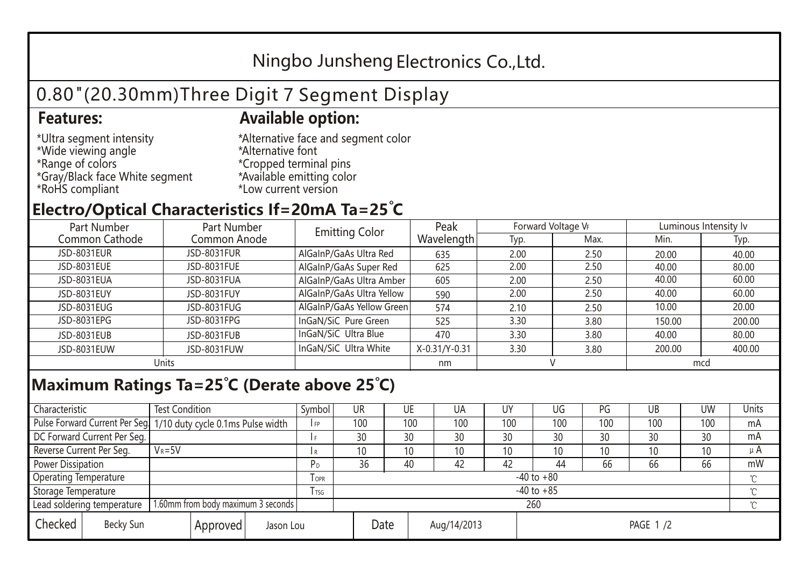## Ningbo Junsheng Electronics Co.,Ltd.

# 0.80"(20.30mm)Three Digit 7 Segment Display

### **Features: Available option:**

- \*Ultra segment intensity \*Wide viewing angle \*Range of colors \*Gray/Black face White segment \*RoHS compliant
- \*Alternative face and segment color \*Alternative font \*Cropped terminal pins \*Available emitting color \*Low current version

### **Electro/Optical Characteristics If=20mA Ta=25 C**

| Part Number    | Part Number  | <b>Emitting Color</b>     | Peak          | Forward Voltage VF |      | Luminous Intensity lv |        |  |
|----------------|--------------|---------------------------|---------------|--------------------|------|-----------------------|--------|--|
| Common Cathode | Common Anode |                           | Wavelength    | Typ.               | Max. | Min.                  | Typ.   |  |
| JSD-8031EUR    | JSD-8031FUR  | AlGaInP/GaAs Ultra Red    | 635           | 2.00               | 2.50 | 20.00                 | 40.00  |  |
| JSD-8031EUE    | JSD-8031FUE  | AlGaInP/GaAs Super Red    | 625           | 2.00               | 2.50 | 40.00                 | 80.00  |  |
| JSD-8031EUA    | JSD-8031FUA  | AlGaInP/GaAs Ultra Amber  | 605           | 2.00               | 2.50 | 40.00                 | 60.00  |  |
| JSD-8031EUY    | JSD-8031FUY  | AlGaInP/GaAs Ultra Yellow | 590           | 2.00               | 2.50 | 40.00                 | 60.00  |  |
| JSD-8031EUG    | JSD-8031FUG  | AlGaInP/GaAs Yellow Green | 574           | 2.10               | 2.50 | 10.00                 | 20.00  |  |
| JSD-8031EPG    | JSD-8031FPG  | InGaN/SiC Pure Green      | 525           | 3.30               | 3.80 | 150.00                | 200.00 |  |
| JSD-8031EUB    | JSD-8031FUB  | InGaN/SiC Ultra Blue      | 470           | 3.30               | 3.80 | 40.00                 | 80.00  |  |
| JSD-8031EUW    | JSD-8031FUW  | InGaN/SiC Ultra White     | X-0.31/Y-0.31 | 3.30               | 3.80 | 200.00                | 400.00 |  |
| Units          |              |                           | nm            |                    |      | mcd                   |        |  |

### **Maximum Ratings Ta=25°C (Derate above 25°C)**

| Characteristic                                |            | <b>Test Condition</b><br>Symbol                                  |                |                     | UR              |  | UE  | UA       | UY  | UG  | PG  | UB              | <b>UW</b> | <b>Units</b> |
|-----------------------------------------------|------------|------------------------------------------------------------------|----------------|---------------------|-----------------|--|-----|----------|-----|-----|-----|-----------------|-----------|--------------|
|                                               |            | Pulse Forward Current Per Seg. 1/10 duty cycle 0.1ms Pulse width |                |                     | 100             |  | 100 | 100      | 100 | 100 | 100 | 100             | 100       | mA           |
| DC Forward Current Per Seg.                   |            |                                                                  |                |                     | 30              |  | 30  | 30       | 30  | 30  | 30  | 30              | 30        | mA           |
| Reverse Current Per Seg.                      | $V_R = 5V$ |                                                                  |                | I R                 | 10 <sup>°</sup> |  | 10  | 10       | 10  | 10  | 10  | 10 <sup>°</sup> | 10        | $\mu$ A      |
| <b>Power Dissipation</b>                      |            |                                                                  |                |                     | 36              |  | 40  | 42       | 42  | 44  | 66  | 66              | 66        | mW           |
| <b>Operating Temperature</b>                  |            |                                                                  | <b>OPR</b>     | $-40$ to $+80$      |                 |  |     |          |     |     |     |                 | $\sim$    |              |
| Storage Temperature                           |            | <b>I</b> TSG                                                     | $-40$ to $+85$ |                     |                 |  |     |          |     |     |     | $\sim$          |           |              |
| Lead soldering temperature                    |            | 1.60mm from body maximum 3 seconds                               |                |                     | 260<br>$\gamma$ |  |     |          |     |     |     |                 |           |              |
| Checked<br>Becky Sun<br>Approved<br>Jason Lou |            |                                                                  |                | Date<br>Aug/14/2013 |                 |  |     | PAGE 1/2 |     |     |     |                 |           |              |